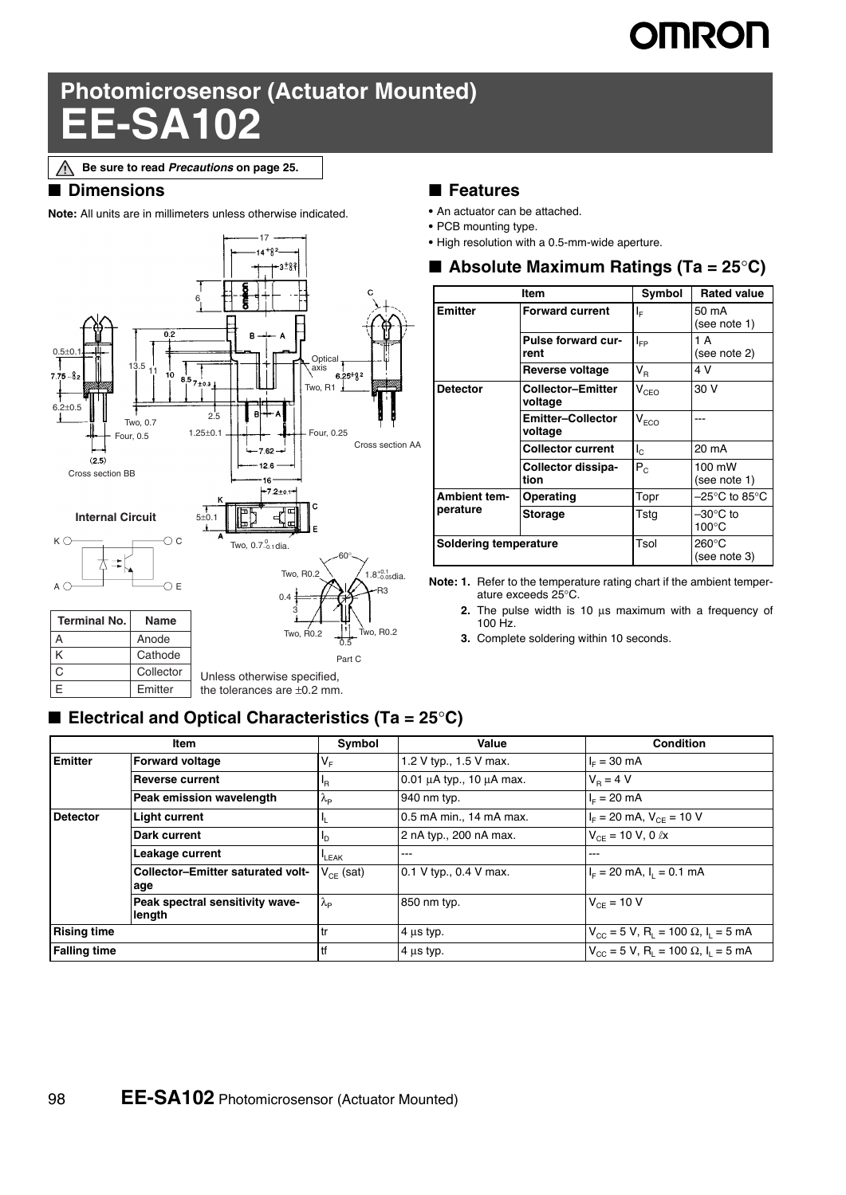# **OMRON**

## **Photomicrosensor (Actuator Mounted) EE-SA102**

**Be sure to read** *Precautions* **on page 25.**Λ

#### ■ **Dimensions**

**Note:** All units are in millimeters unless otherwise indicated.



#### ■ **Features**

- **•** An actuator can be attached.
- **•** PCB mounting type.
- **•** High resolution with a 0.5-mm-wide aperture.

|                              | <b>Item</b>                         | Symbol                      | <b>Rated value</b>                 |
|------------------------------|-------------------------------------|-----------------------------|------------------------------------|
| <b>Emitter</b>               | <b>Forward current</b>              | ΙĘ                          | 50 mA<br>(see note 1)              |
|                              | <b>Pulse forward cur-</b><br>rent   | $I_{FP}$                    | 1 A<br>(see note 2)                |
|                              | Reverse voltage                     | $V_{\rm R}$                 | 4 V                                |
| <b>Detector</b>              | <b>Collector-Emitter</b><br>voltage | $\mathsf{V}_{\texttt{CEO}}$ | 30 V                               |
|                              | <b>Emitter-Collector</b><br>voltage | $\mathsf{V}_{\mathsf{ECO}}$ |                                    |
|                              | <b>Collector current</b>            | $I_{\rm C}$                 | 20 mA                              |
|                              | Collector dissipa-<br>tion          | $P_{c}$                     | 100 mW<br>(see note 1)             |
| <b>Ambient tem-</b>          | Operating                           | Topr                        | $-25^{\circ}$ C to 85 $^{\circ}$ C |
| perature                     | <b>Storage</b>                      | Tstg                        | –30°C to<br>$100^{\circ}$ C        |
| <b>Soldering temperature</b> |                                     | Tsol                        | 260°C<br>(see note 3)              |

**Note: 1.** Refer to the temperature rating chart if the ambient temperature exceeds 25°C.

- **2.** The pulse width is 10 μs maximum with a frequency of 100 Hz.
- **3.** Complete soldering within 10 seconds.

#### ■ **Electrical and Optical Characteristics (Ta = 25°C)**

| Item                |                                           | Symbol                 | Value                              | <b>Condition</b>                                                              |
|---------------------|-------------------------------------------|------------------------|------------------------------------|-------------------------------------------------------------------------------|
| <b>Emitter</b>      | <b>Forward voltage</b>                    | $V_F$                  | 1.2 V typ., 1.5 V max.             | $I_F = 30$ mA                                                                 |
|                     | <b>Reverse current</b>                    | Iŀв                    | $0.01 \mu A$ typ., 10 $\mu A$ max. | $V_{\rm B} = 4 V$                                                             |
|                     | Peak emission wavelength                  | $\lambda_{\rm P}$      | 940 nm typ.                        | $I_{E} = 20$ mA                                                               |
| <b>Detector</b>     | <b>Light current</b>                      |                        | 0.5 mA min., 14 mA max.            | $I_{\rm E}$ = 20 mA, $V_{\rm CE}$ = 10 V                                      |
|                     | Dark current                              | Ιb                     | 2 nA typ., 200 nA max.             | $V_{CF}$ = 10 V, 0 $\ell$ x                                                   |
|                     | Leakage current                           | <b>LEAK</b>            | ---                                | ---                                                                           |
|                     | Collector-Emitter saturated volt-<br>age  | $V_{CF}$ (sat)         | 0.1 V typ., 0.4 V max.             | $I_F = 20$ mA, $I_L = 0.1$ mA                                                 |
|                     | Peak spectral sensitivity wave-<br>length | $\lambda_{\mathsf{P}}$ | 850 nm typ.                        | $V_{CF} = 10 V$                                                               |
| <b>Rising time</b>  |                                           | 1tr                    | $4 \mu s$ typ.                     | $V_{\text{CC}}$ = 5 V, R <sub>L</sub> = 100 $\Omega$ , I <sub>L</sub> = 5 mA  |
| <b>Falling time</b> |                                           | 1tf                    | $4 \mu s$ typ.                     | $V_{\text{CC}} = 5 V$ , R <sub>1</sub> = 100 $\Omega$ , I <sub>1</sub> = 5 mA |